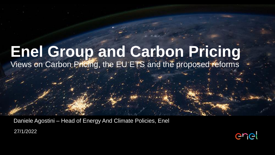# **Enel Group and Carbon Pricing**

Views on Carbon Pricing, the EU ETS and the proposed reforms

27/1/2022 Daniele Agostini – Head of Energy And Climate Policies, Enel

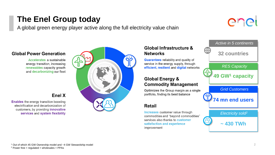### **The Enel Group today**

A global green energy player active along the full electricity value chain

# ener

#### **Global Power Generation**

Accelerates a sustainable energy transition, increasing renewables capacity growth and decarbonizing our fleet

#### Enel X

**Enables** the energy transition boosting electrification and decarbonization of customers, by providing *innovative* services and system flexibility



### Global Infrastructure & **Networks**

**Guarantees** reliability and quality of service in the energy supply, through efficient, resilient and digital networks

### **Global Energy & Commodity Management**

Optimizes the Group margin as a single portfolio, finding its best balance

### **Retail**

Increases customer value through commodities and "beyond commodities" services also thanks to customer satisfaction and experience improvement

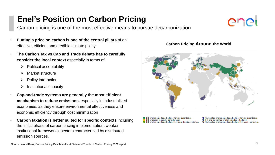### **Enel's Position on Carbon Pricing**

Carbon pricing is one of the most effective means to pursue decarbonization

- **Putting a price on carbon is one of the central pillars** of an effective, efficient and credible climate policy
- **The Carbon Tax vs Cap and Trade debate has to carefully consider the local context** especially in terms of:
	- ➢ Political acceptability
	- Market structure
	- ➢ Policy interaction
	- ➢ Institutional capacity
- **Cap-and-trade systems are generally the most efficient mechanism to reduce emissions,** especially in industrialized economies, as they ensure environmental effectiveness and economic efficiency through cost minimization
- **Carbon taxation is better suited for specific contexts** including the initial phase of carbon pricing implementation**,** weaker institutional frameworks, sectors characterized by distributed emission sources.

ETS implemented or scheduled for implementation ETS or carbon tax under consideration ETS implemented or scheduled, ETS or carbon tax under c..

- Carbon tax implemented or scheduled for implementation ETS and carbon tax implemented or scheduled
- Carbon tax implemented or scheduled, ETS under consider...



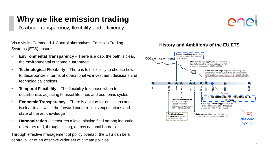## **Why we like emission trading**

It's about transparency, flexibility and efficiency

Vis a vis its Command & Control alternatives, Emission Trading Systems (ETS) ensure:

- **Environmental Transparency**  There is a cap, the path is clear, the environmental outcome guaranteed
- **Technological Flexibility** There is full flexibility to choose how to decarbonize in terms of operational vs investment decisions and technological choices
- **Temporal Flexibility** The flexibility to choose when to decarbonize, adjusting to asset lifetimes and economic cycles
- **Economic Transparency**  There is a value for emissions and it is clear to all, while the forward curve reflects expectations and state of the art knowledge
- **Harmonization** It ensures a level playing field among industrial operators and, through linking, across national borders.

Through effective management of policy overlap, the ETS can be a central pillar of an effective wider set of climate policies.



#### **History and Ambitions of the EU ETS**

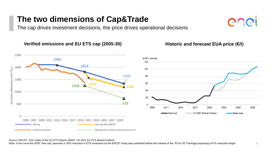### **The two dimensions of Cap&Trade**

The cap drives investment decisions, the price drives operational decisions

#### **Verified emissions and EU ETS cap (2005-30)**



#### **Historic and forecast EUA price (€/t)**

 $\bigcap$ 

Source: ERCST: 2021 State of the EU ETS Report; BNEF: 2H 2021 EU ETS Market Outlook

Note: in the curve the 2030 "new cap" assumes a 65% reduction in ETS emissions as the ERCST study was published before the release of the "Fit for 55" Package proposing a 61% reduction target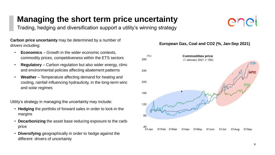### **Managing the short term price uncertainty**

Trading, hedging and diversification support a utility's winning strategy

**Carbon price uncertainty** may be determined by a number of drivers including:

- **Economics** Growth in the wider economic contexts, commodity prices, competitiveness within the ETS sectors
- **Regulatory** Carbon regulation but also wider energy, climate and environmental policies affecting abatement patterns
- **Weather**  Temperature affecting demand for heating and cooling, rainfall influencing hydraulicity, in the long-term wind and solar regimes

Utility's strategy in managing the uncertainty may include:

- **Hedging** the portfolio of forward sales in order to lock-in the margins
- **Decarbonizing** the asset base reducing exposure to the carbe price
- **Diversifying** geographically in order to hedge against the different drivers of uncertainty

#### **European Gas, Coal and CO2 (%, Jan-Sep 2021)**



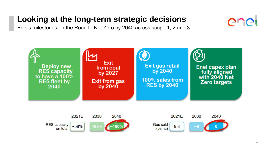### **Looking at the long-term strategic decisions**

Enel's milestones on the Road to Net Zero by 2040 across scope 1, 2 and 3







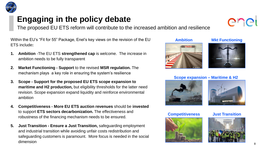### **Engaging in the policy debate**

The proposed EU ETS reform will contribute to the increased ambition and resilience

Within the EU's "Fit for 55" Package, Enel's key views on the revision of the EU ETS include**:**

- **1. Ambition** -The EU ETS **strengthened cap** is welcome. The increase in ambition needs to be fully transparent
- **2. Market Functioning - Support** to the revised **MSR regulation.** The mechanism plays a key role in ensuring the system's resilience
- **3. Scope - Support for the proposed EU ETS scope expansion to maritime and H2 production,** but eligibility thresholds for the latter need revision. Scope expansion expand liquidity and reinforce environmental ambition
- **4. Competitiveness - More EU ETS auction revenues** should be **invested**  to support **ETS sectors decarbonization.** The effectiveness and robustness of the financing mechanism needs to be ensured.
- **5. Just Transition - Ensure a Just Transition,** safeguarding employment and industrial transition while avoiding unfair costs redistribution and safeguarding customers is paramount. More focus is needed in the social dimension

















**EFINISH**